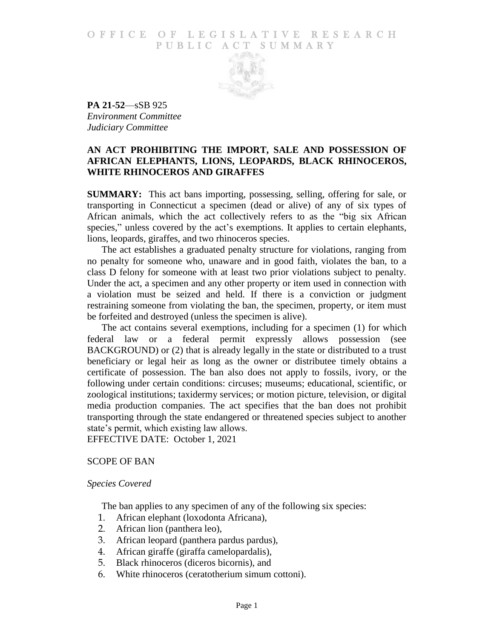## O F FICE OF LEGISLATIVE RESEARCH PUBLIC ACT SUMMARY



**PA 21-52**—sSB 925 *Environment Committee Judiciary Committee*

# **AN ACT PROHIBITING THE IMPORT, SALE AND POSSESSION OF AFRICAN ELEPHANTS, LIONS, LEOPARDS, BLACK RHINOCEROS, WHITE RHINOCEROS AND GIRAFFES**

**SUMMARY:** This act bans importing, possessing, selling, offering for sale, or transporting in Connecticut a specimen (dead or alive) of any of six types of African animals, which the act collectively refers to as the "big six African species," unless covered by the act's exemptions. It applies to certain elephants, lions, leopards, giraffes, and two rhinoceros species.

The act establishes a graduated penalty structure for violations, ranging from no penalty for someone who, unaware and in good faith, violates the ban, to a class D felony for someone with at least two prior violations subject to penalty. Under the act, a specimen and any other property or item used in connection with a violation must be seized and held. If there is a conviction or judgment restraining someone from violating the ban, the specimen, property, or item must be forfeited and destroyed (unless the specimen is alive).

The act contains several exemptions, including for a specimen (1) for which federal law or a federal permit expressly allows possession (see BACKGROUND) or (2) that is already legally in the state or distributed to a trust beneficiary or legal heir as long as the owner or distributee timely obtains a certificate of possession. The ban also does not apply to fossils, ivory, or the following under certain conditions: circuses; museums; educational, scientific, or zoological institutions; taxidermy services; or motion picture, television, or digital media production companies. The act specifies that the ban does not prohibit transporting through the state endangered or threatened species subject to another state's permit, which existing law allows.

EFFECTIVE DATE: October 1, 2021

# SCOPE OF BAN

## *Species Covered*

The ban applies to any specimen of any of the following six species:

- 1. African elephant (loxodonta Africana),
- 2. African lion (panthera leo),
- 3. African leopard (panthera pardus pardus),
- 4. African giraffe (giraffa camelopardalis),
- 5. Black rhinoceros (diceros bicornis), and
- 6. White rhinoceros (ceratotherium simum cottoni).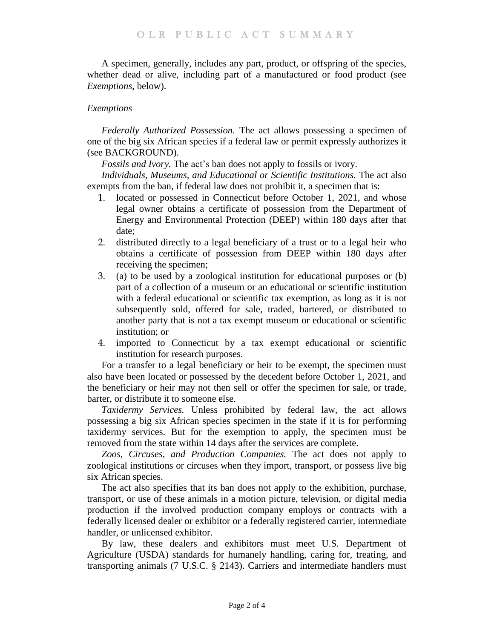A specimen, generally, includes any part, product, or offspring of the species, whether dead or alive, including part of a manufactured or food product (see *Exemptions*, below).

# *Exemptions*

*Federally Authorized Possession.* The act allows possessing a specimen of one of the big six African species if a federal law or permit expressly authorizes it (see BACKGROUND).

*Fossils and Ivory.* The act's ban does not apply to fossils or ivory.

*Individuals, Museums, and Educational or Scientific Institutions.* The act also exempts from the ban, if federal law does not prohibit it, a specimen that is:

- 1. located or possessed in Connecticut before October 1, 2021, and whose legal owner obtains a certificate of possession from the Department of Energy and Environmental Protection (DEEP) within 180 days after that date;
- 2. distributed directly to a legal beneficiary of a trust or to a legal heir who obtains a certificate of possession from DEEP within 180 days after receiving the specimen;
- 3. (a) to be used by a zoological institution for educational purposes or (b) part of a collection of a museum or an educational or scientific institution with a federal educational or scientific tax exemption, as long as it is not subsequently sold, offered for sale, traded, bartered, or distributed to another party that is not a tax exempt museum or educational or scientific institution; or
- 4. imported to Connecticut by a tax exempt educational or scientific institution for research purposes.

For a transfer to a legal beneficiary or heir to be exempt, the specimen must also have been located or possessed by the decedent before October 1, 2021, and the beneficiary or heir may not then sell or offer the specimen for sale, or trade, barter, or distribute it to someone else.

*Taxidermy Services.* Unless prohibited by federal law, the act allows possessing a big six African species specimen in the state if it is for performing taxidermy services. But for the exemption to apply, the specimen must be removed from the state within 14 days after the services are complete.

*Zoos, Circuses, and Production Companies.* The act does not apply to zoological institutions or circuses when they import, transport, or possess live big six African species.

The act also specifies that its ban does not apply to the exhibition, purchase, transport, or use of these animals in a motion picture, television, or digital media production if the involved production company employs or contracts with a federally licensed dealer or exhibitor or a federally registered carrier, intermediate handler, or unlicensed exhibitor.

By law, these dealers and exhibitors must meet U.S. Department of Agriculture (USDA) standards for humanely handling, caring for, treating, and transporting animals (7 U.S.C. § 2143). Carriers and intermediate handlers must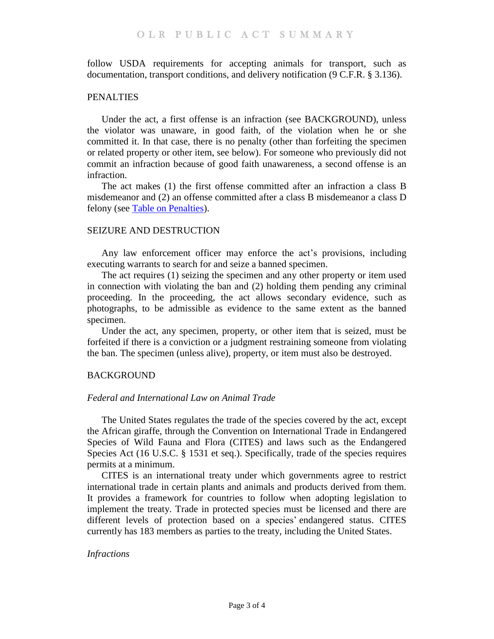follow USDA requirements for accepting animals for transport, such as documentation, transport conditions, and delivery notification (9 C.F.R. § 3.136).

## PENALTIES

Under the act, a first offense is an infraction (see BACKGROUND), unless the violator was unaware, in good faith, of the violation when he or she committed it. In that case, there is no penalty (other than forfeiting the specimen or related property or other item, see below). For someone who previously did not commit an infraction because of good faith unawareness, a second offense is an infraction.

The act makes (1) the first offense committed after an infraction a class B misdemeanor and (2) an offense committed after a class B misdemeanor a class D felony (see [Table on Penalties\)](https://www.cga.ct.gov/2021/rpt/pdf/2021-R-0123.pdf).

## SEIZURE AND DESTRUCTION

Any law enforcement officer may enforce the act's provisions, including executing warrants to search for and seize a banned specimen.

The act requires (1) seizing the specimen and any other property or item used in connection with violating the ban and (2) holding them pending any criminal proceeding. In the proceeding, the act allows secondary evidence, such as photographs, to be admissible as evidence to the same extent as the banned specimen.

Under the act, any specimen, property, or other item that is seized, must be forfeited if there is a conviction or a judgment restraining someone from violating the ban. The specimen (unless alive), property, or item must also be destroyed.

# BACKGROUND

## *Federal and International Law on Animal Trade*

The United States regulates the trade of the species covered by the act, except the African giraffe, through the Convention on International Trade in Endangered Species of Wild Fauna and Flora (CITES) and laws such as the Endangered Species Act (16 U.S.C. § 1531 et seq.). Specifically, trade of the species requires permits at a minimum.

CITES is an international treaty under which governments agree to restrict international trade in certain plants and animals and products derived from them. It provides a framework for countries to follow when adopting legislation to implement the treaty. Trade in protected species must be licensed and there are different levels of protection based on a species' endangered status. CITES currently has 183 members as parties to the treaty, including the United States.

## *Infractions*